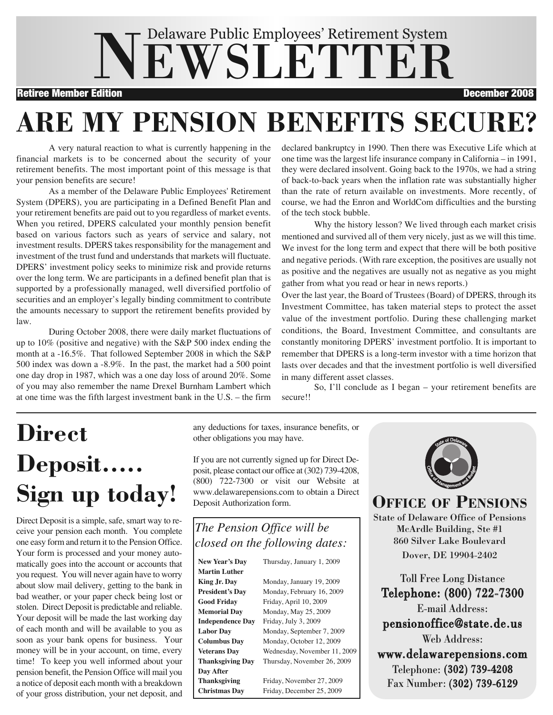# NEWSLETTER Delaware Public Employees' Retirement System

Retiree Member Edition December 2008

# **ARE MY PENSION BENEFITS SECURE?**

A very natural reaction to what is currently happening in the financial markets is to be concerned about the security of your retirement benefits. The most important point of this message is that your pension benefits are secure!

As a member of the Delaware Public Employees' Retirement System (DPERS), you are participating in a Defined Benefit Plan and your retirement benefits are paid out to you regardless of market events. When you retired, DPERS calculated your monthly pension benefit based on various factors such as years of service and salary, not investment results. DPERS takes responsibility for the management and investment of the trust fund and understands that markets will fluctuate. DPERS' investment policy seeks to minimize risk and provide returns over the long term. We are participants in a defined benefit plan that is supported by a professionally managed, well diversified portfolio of securities and an employer's legally binding commitment to contribute the amounts necessary to support the retirement benefits provided by law.

During October 2008, there were daily market fluctuations of up to 10% (positive and negative) with the S&P 500 index ending the month at a -16.5%. That followed September 2008 in which the S&P 500 index was down a -8.9%. In the past, the market had a 500 point one day drop in 1987, which was a one day loss of around 20%. Some of you may also remember the name Drexel Burnham Lambert which at one time was the fifth largest investment bank in the U.S. – the firm

declared bankruptcy in 1990. Then there was Executive Life which at one time was the largest life insurance company in California – in 1991, they were declared insolvent. Going back to the 1970s, we had a string of back-to-back years when the inflation rate was substantially higher than the rate of return available on investments. More recently, of course, we had the Enron and WorldCom difficulties and the bursting of the tech stock bubble.

Why the history lesson? We lived through each market crisis mentioned and survived all of them very nicely, just as we will this time. We invest for the long term and expect that there will be both positive and negative periods. (With rare exception, the positives are usually not as positive and the negatives are usually not as negative as you might gather from what you read or hear in news reports.)

Over the last year, the Board of Trustees (Board) of DPERS, through its Investment Committee, has taken material steps to protect the asset value of the investment portfolio. During these challenging market conditions, the Board, Investment Committee, and consultants are constantly monitoring DPERS' investment portfolio. It is important to remember that DPERS is a long-term investor with a time horizon that lasts over decades and that the investment portfolio is well diversified in many different asset classes.

So, I'll conclude as I began – your retirement benefits are secure!!

# **Direct Deposit….. Sign up today!**

Direct Deposit is a simple, safe, smart way to receive your pension each month. You complete one easy form and return it to the Pension Office. Your form is processed and your money automatically goes into the account or accounts that you request. You will never again have to worry about slow mail delivery, getting to the bank in bad weather, or your paper check being lost or stolen. Direct Deposit is predictable and reliable. Your deposit will be made the last working day of each month and will be available to you as soon as your bank opens for business. Your money will be in your account, on time, every time! To keep you well informed about your pension benefit, the Pension Office will mail you a notice of deposit each month with a breakdown of your gross distribution, your net deposit, and any deductions for taxes, insurance benefits, or other obligations you may have.

If you are not currently signed up for Direct Deposit, please contact our office at (302) 739-4208, (800) 722-7300 or visit our Website at www.delawarepensions.com to obtain a Direct Deposit Authorization form.

#### *The Pension Office will be closed on the following dates:*

| Thursday, January 1, 2009    |  |  |
|------------------------------|--|--|
|                              |  |  |
| Monday, January 19, 2009     |  |  |
| Monday, February 16, 2009    |  |  |
| Friday, April 10, 2009       |  |  |
| Monday, May 25, 2009         |  |  |
| Friday, July 3, 2009         |  |  |
| Monday, September 7, 2009    |  |  |
| Monday, October 12, 2009     |  |  |
| Wednesday, November 11, 2009 |  |  |
| Thursday, November 26, 2009  |  |  |
|                              |  |  |
| Friday, November 27, 2009    |  |  |
| Friday, December 25, 2009    |  |  |
|                              |  |  |



**OFFICE OF PENSIONS**

State of Delaware Office of Pensions McArdle Building, Ste #1 860 Silver Lake Boulevard Dover, DE 19904-2402

Toll Free Long Distance Telephone: (800) 722-7300 E-mail Address: pensionoffice@state.de.us Web Address: www.delawarepensions.com Telephone: (302) 739-4208 Fax Number: (302) 739-6129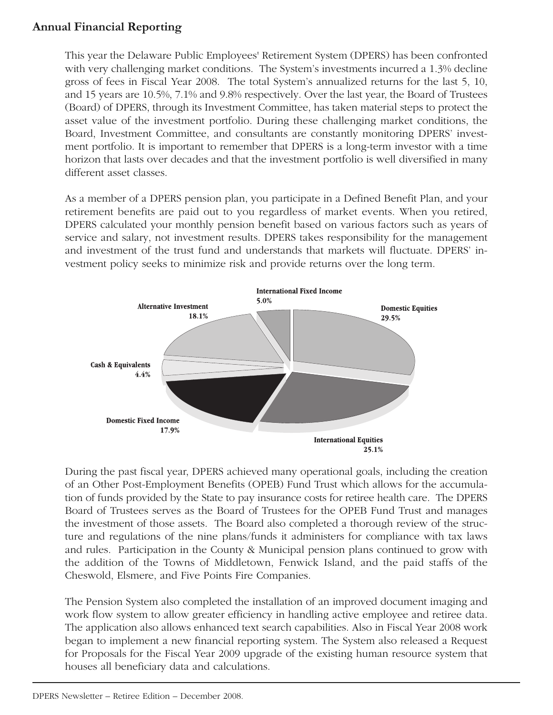#### **Annual Financial Reporting**

This year the Delaware Public Employees' Retirement System (DPERS) has been confronted with very challenging market conditions. The System's investments incurred a 1.3% decline gross of fees in Fiscal Year 2008. The total System's annualized returns for the last 5, 10, and 15 years are 10.5%, 7.1% and 9.8% respectively. Over the last year, the Board of Trustees (Board) of DPERS, through its Investment Committee, has taken material steps to protect the asset value of the investment portfolio. During these challenging market conditions, the Board, Investment Committee, and consultants are constantly monitoring DPERS' investment portfolio. It is important to remember that DPERS is a long-term investor with a time horizon that lasts over decades and that the investment portfolio is well diversified in many different asset classes.

As a member of a DPERS pension plan, you participate in a Defined Benefit Plan, and your retirement benefits are paid out to you regardless of market events. When you retired, DPERS calculated your monthly pension benefit based on various factors such as years of service and salary, not investment results. DPERS takes responsibility for the management and investment of the trust fund and understands that markets will fluctuate. DPERS' investment policy seeks to minimize risk and provide returns over the long term.



During the past fiscal year, DPERS achieved many operational goals, including the creation of an Other Post-Employment Benefits (OPEB) Fund Trust which allows for the accumulation of funds provided by the State to pay insurance costs for retiree health care. The DPERS Board of Trustees serves as the Board of Trustees for the OPEB Fund Trust and manages the investment of those assets. The Board also completed a thorough review of the structure and regulations of the nine plans/funds it administers for compliance with tax laws and rules. Participation in the County & Municipal pension plans continued to grow with the addition of the Towns of Middletown, Fenwick Island, and the paid staffs of the Cheswold, Elsmere, and Five Points Fire Companies.

The Pension System also completed the installation of an improved document imaging and work flow system to allow greater efficiency in handling active employee and retiree data. The application also allows enhanced text search capabilities. Also in Fiscal Year 2008 work began to implement a new financial reporting system. The System also released a Request for Proposals for the Fiscal Year 2009 upgrade of the existing human resource system that houses all beneficiary data and calculations.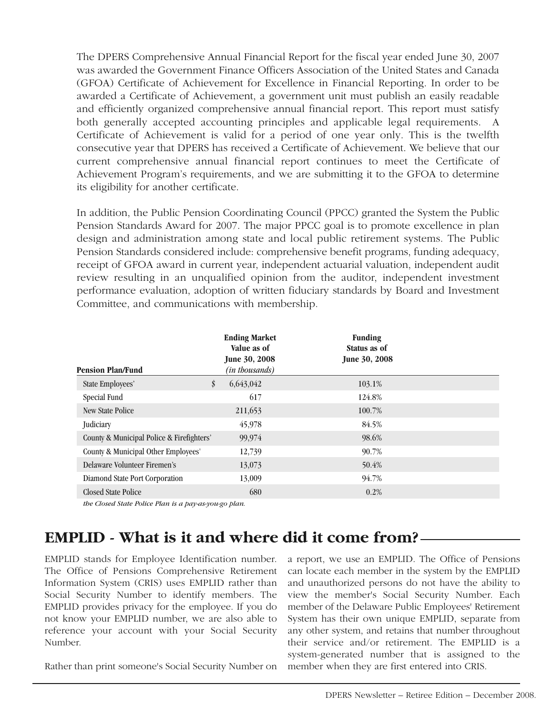The DPERS Comprehensive Annual Financial Report for the fiscal year ended June 30, 2007 was awarded the Government Finance Officers Association of the United States and Canada (GFOA) Certificate of Achievement for Excellence in Financial Reporting. In order to be awarded a Certificate of Achievement, a government unit must publish an easily readable and efficiently organized comprehensive annual financial report. This report must satisfy both generally accepted accounting principles and applicable legal requirements. A Certificate of Achievement is valid for a period of one year only. This is the twelfth consecutive year that DPERS has received a Certificate of Achievement. We believe that our current comprehensive annual financial report continues to meet the Certificate of Achievement Program's requirements, and we are submitting it to the GFOA to determine its eligibility for another certificate.

In addition, the Public Pension Coordinating Council (PPCC) granted the System the Public Pension Standards Award for 2007. The major PPCC goal is to promote excellence in plan design and administration among state and local public retirement systems. The Public Pension Standards considered include: comprehensive benefit programs, funding adequacy, receipt of GFOA award in current year, independent actuarial valuation, independent audit review resulting in an unqualified opinion from the auditor, independent investment performance evaluation, adoption of written fiduciary standards by Board and Investment Committee, and communications with membership.

| <b>Pension Plan/Fund</b>                  | <b>Ending Market</b><br>Value as of<br><b>June 30, 2008</b><br>(in thousands) | <b>Funding</b><br>Status as of<br><b>June 30, 2008</b> |  |
|-------------------------------------------|-------------------------------------------------------------------------------|--------------------------------------------------------|--|
| <b>State Employees'</b>                   | \$<br>6,643,042                                                               | 103.1%                                                 |  |
| Special Fund                              | 617                                                                           | 124.8%                                                 |  |
| <b>New State Police</b>                   | 211,653                                                                       | 100.7%                                                 |  |
| Judiciary                                 | 45,978                                                                        | 84.5%                                                  |  |
| County & Municipal Police & Firefighters' | 99,974                                                                        | 98.6%                                                  |  |
| County & Municipal Other Employees'       | 12,739                                                                        | 90.7%                                                  |  |
| Delaware Volunteer Firemen's              | 13,073                                                                        | 50.4%                                                  |  |
| Diamond State Port Corporation            | 13,009                                                                        | 94.7%                                                  |  |
| <b>Closed State Police</b>                | 680                                                                           | 0.2%                                                   |  |
|                                           |                                                                               |                                                        |  |

*the Closed State Police Plan is a pay-as-you-go plan.*

### **EMPLID - What is it and where did it come from?**

EMPLID stands for Employee Identification number. The Office of Pensions Comprehensive Retirement Information System (CRIS) uses EMPLID rather than Social Security Number to identify members. The EMPLID provides privacy for the employee. If you do not know your EMPLID number, we are also able to reference your account with your Social Security Number.

Rather than print someone's Social Security Number on

a report, we use an EMPLID. The Office of Pensions can locate each member in the system by the EMPLID and unauthorized persons do not have the ability to view the member's Social Security Number. Each member of the Delaware Public Employees' Retirement System has their own unique EMPLID, separate from any other system, and retains that number throughout their service and/or retirement. The EMPLID is a system-generated number that is assigned to the member when they are first entered into CRIS.